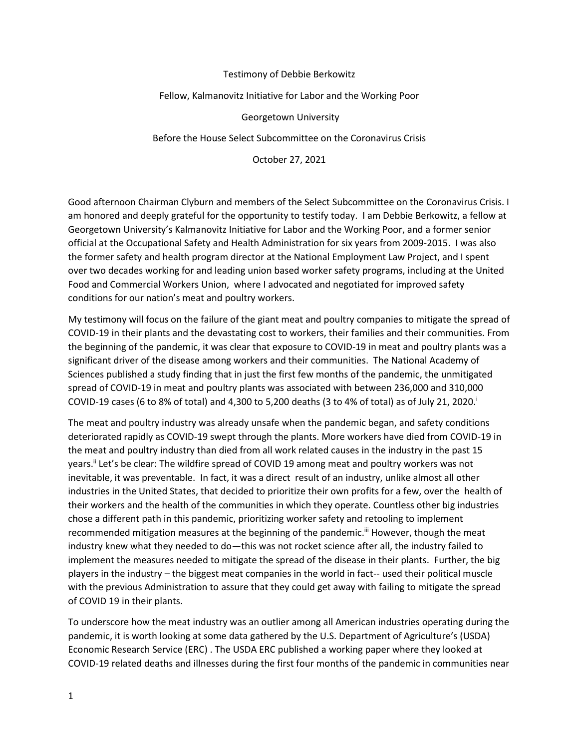#### Testimony of Debbie Berkowitz

#### Fellow, Kalmanovitz Initiative for Labor and the Working Poor

Georgetown University

Before the House Select Subcommittee on the Coronavirus Crisis

October 27, 2021

Good afternoon Chairman Clyburn and members of the Select Subcommittee on the Coronavirus Crisis. I am honored and deeply grateful for the opportunity to testify today. I am Debbie Berkowitz, a fellow at Georgetown University's Kalmanovitz Initiative for Labor and the Working Poor, and a former senior official at the Occupational Safety and Health Administration for six years from 2009-2015. I was also the former safety and health program director at the National Employment Law Project, and I spent over two decades working for and leading union based worker safety programs, including at the United Food and Commercial Workers Union, where I advocated and negotiated for improved safety conditions for our nation's meat and poultry workers.

My testimony will focus on the failure of the giant meat and poultry companies to mitigate the spread of COVID-19 in their plants and the devastating cost to workers, their families and their communities. From the beginning of the pandemic, it was clear that exposure to COVID-19 in meat and poultry plants was a significant driver of the disease among workers and their communities. The National Academy of Sciences published a study finding that in just the first few months of the pandemic, the unmitigated spread of COVID-19 in meat and poultry plants was associated with between 236,000 and 310,000 COVID-19 cases (6 to 8% of total) and 4,300 to 5,200 deaths (3 to 4% of total) as of July 21, 2020.

The meat and poultry industry was already unsafe when the pandemic began, and safety conditions deteriorated rapidly as COVID-19 swept through the plants. More workers have died from COVID-19 in the meat and poultry industry than died from all work related causes in the industry in the past 15 years.<sup>II</sup> Let's be clear: The wildfire spread of COVID 19 among meat and poultry workers was not inevitable, it was preventable. In fact, it was a direct result of an industry, unlike almost all other industries in the United States, that decided to prioritize their own profits for a few, over the health of their workers and the health of the communities in which they operate. Countless other big industries chose a different path in this pandemic, prioritizing worker safety and retooling to implement recommended mitigation measures at the beginning of the pandemic.<sup>iii</sup> However, though the meat industry knew what they needed to do—this was not rocket science after all, the industry failed to implement the measures needed to mitigate the spread of the disease in their plants. Further, the big players in the industry – the biggest meat companies in the world in fact-- used their political muscle with the previous Administration to assure that they could get away with failing to mitigate the spread of COVID 19 in their plants.

To underscore how the meat industry was an outlier among all American industries operating during the pandemic, it is worth looking at some data gathered by the U.S. Department of Agriculture's (USDA) Economic Research Service (ERC) . The USDA ERC published a working paper where they looked at COVID-19 related deaths and illnesses during the first four months of the pandemic in communities near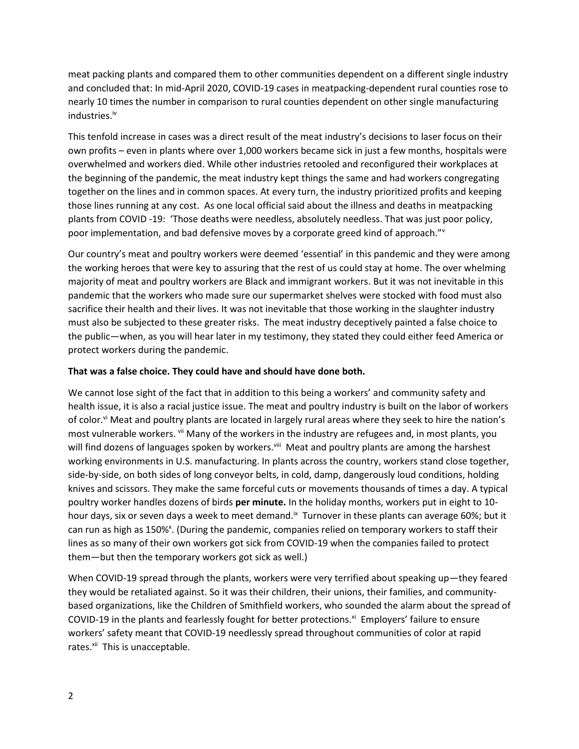meat packing plants and compared them to other communities dependent on a different single industry and concluded that: In mid-April 2020, COVID-19 cases in meatpacking-dependent rural counties rose to nearly 10 times the number in comparison to rural counties dependent on other single manufacturing industries. iv

This tenfold increase in cases was a direct result of the meat industry's decisions to laser focus on their own profits – even in plants where over 1,000 workers became sick in just a few months, hospitals were overwhelmed and workers died. While other industries retooled and reconfigured their workplaces at the beginning of the pandemic, the meat industry kept things the same and had workers congregating together on the lines and in common spaces. At every turn, the industry prioritized profits and keeping those lines running at any cost. As one local official said about the illness and deaths in meatpacking plants from COVID -19: 'Those deaths were needless, absolutely needless. That was just poor policy, poor implementation, and bad defensive moves by a corporate greed kind of approach."<sup>v</sup>

Our country's meat and poultry workers were deemed 'essential' in this pandemic and they were among the working heroes that were key to assuring that the rest of us could stay at home. The over whelming majority of meat and poultry workers are Black and immigrant workers. But it was not inevitable in this pandemic that the workers who made sure our supermarket shelves were stocked with food must also sacrifice their health and their lives. It was not inevitable that those working in the slaughter industry must also be subjected to these greater risks. The meat industry deceptively painted a false choice to the public—when, as you will hear later in my testimony, they stated they could either feed America or protect workers during the pandemic.

## **That was a false choice. They could have and should have done both.**

We cannot lose sight of the fact that in addition to this being a workers' and community safety and health issue, it is also a racial justice issue. The meat and poultry industry is built on the labor of workers of color.<sup>vi</sup> Meat and poultry plants are located in largely rural areas where they seek to hire the nation's most vulnerable workers. <sup>vii</sup> Many of the workers in the industry are refugees and, in most plants, you will find dozens of languages spoken by workers.<sup>viii</sup> Meat and poultry plants are among the harshest working environments in U.S. manufacturing. In plants across the country, workers stand close together, side-by-side, on both sides of long conveyor belts, in cold, damp, dangerously loud conditions, holding knives and scissors. They make the same forceful cuts or movements thousands of times a day. A typical poultry worker handles dozens of birds **per minute.** In the holiday months, workers put in eight to 10 hour days, six or seven days a week to meet demand.<sup>ix</sup> Turnover in these plants can average 60%; but it can run as high as 150%<sup>x</sup>. (During the pandemic, companies relied on temporary workers to staff their lines as so many of their own workers got sick from COVID-19 when the companies failed to protect them—but then the temporary workers got sick as well.)

When COVID-19 spread through the plants, workers were very terrified about speaking up—they feared they would be retaliated against. So it was their children, their unions, their families, and communitybased organizations, like the Children of Smithfield workers, who sounded the alarm about the spread of COVID-19 in the plants and fearlessly fought for better protections.<sup>xi</sup> Employers' failure to ensure workers' safety meant that COVID-19 needlessly spread throughout communities of color at rapid rates.<sup>xii</sup> This is unacceptable.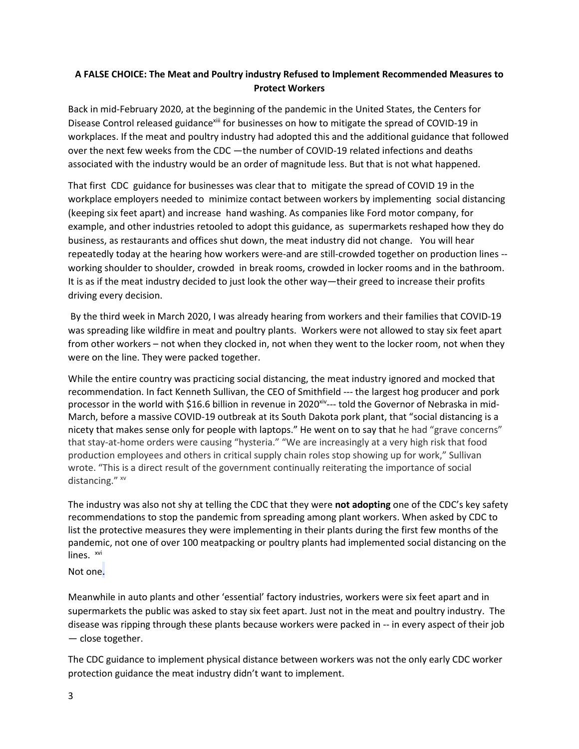# **A FALSE CHOICE: The Meat and Poultry industry Refused to Implement Recommended Measures to Protect Workers**

Back in mid-February 2020, at the beginning of the pandemic in the United States, the Centers for Disease Control released guidance<sup>xiii</sup> for businesses on how to mitigate the spread of COVID-19 in workplaces. If the meat and poultry industry had adopted this and the additional guidance that followed over the next few weeks from the CDC —the number of COVID-19 related infections and deaths associated with the industry would be an order of magnitude less. But that is not what happened.

That first CDC guidance for businesses was clear that to mitigate the spread of COVID 19 in the workplace employers needed to minimize contact between workers by implementing social distancing (keeping six feet apart) and increase hand washing. As companies like Ford motor company, for example, and other industries retooled to adopt this guidance, as supermarkets reshaped how they do business, as restaurants and offices shut down, the meat industry did not change. You will hear repeatedly today at the hearing how workers were-and are still-crowded together on production lines - working shoulder to shoulder, crowded in break rooms, crowded in locker rooms and in the bathroom. It is as if the meat industry decided to just look the other way—their greed to increase their profits driving every decision.

By the third week in March 2020, I was already hearing from workers and their families that COVID-19 was spreading like wildfire in meat and poultry plants. Workers were not allowed to stay six feet apart from other workers – not when they clocked in, not when they went to the locker room, not when they were on the line. They were packed together.

While the entire country was practicing social distancing, the meat industry ignored and mocked that recommendation. In fact Kenneth Sullivan, the CEO of Smithfield --- the largest hog producer and pork processor in the world with \$16.6 billion in revenue in 2020<sup>xiv</sup>--- told the Governor of Nebraska in mid-March, before a massive COVID-19 outbreak at its South Dakota pork plant, that "social distancing is a nicety that makes sense only for people with laptops." He went on to say that he had "grave concerns" that stay-at-home orders were causing "hysteria." "We are increasingly at a very high risk that food production employees and others in critical supply chain roles stop showing up for work," Sullivan wrote. "This is a direct result of the government continually reiterating the importance of social distancing." xv

The industry was also not shy at telling the CDC that they were **not adopting** one of the CDC's key safety recommendations to stop the pandemic from spreading among plant workers. When asked by CDC to list the protective measures they were implementing in their plants during the first few months of the pandemic, not one of over 100 meatpacking or poultry plants had implemented social distancing on the lines. <sup>xvi</sup>

Not one.

Meanwhile in auto plants and other 'essential' factory industries, workers were six feet apart and in supermarkets the public was asked to stay six feet apart. Just not in the meat and poultry industry. The disease was ripping through these plants because workers were packed in -- in every aspect of their job — close together.

The CDC guidance to implement physical distance between workers was not the only early CDC worker protection guidance the meat industry didn't want to implement.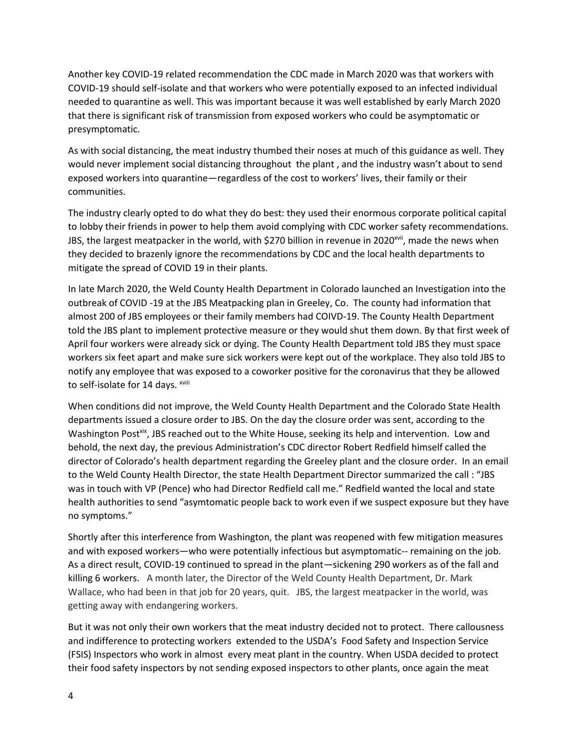Another key COVID-19 related recommendation the CDC made in March 2020 was that workers with COVID-19 should self-isolate and that workers who were potentially exposed to an infected individual needed to quarantine as well. This was important because it was well established by early March 2020 that there is significant risk of transmission from exposed workers who could be asymptomatic or presymptomatic.

As with social distancing, the meat industry thumbed their noses at much of this guidance as well. They would never implement social distancing throughout the plant , and the industry wasn't about to send exposed workers into quarantine—regardless of the cost to workers' lives, their family or their communities.

The industry clearly opted to do what they do best: they used their enormous corporate political capital to lobby their friends in power to help them avoid complying with CDC worker safety recommendations. JBS, the largest meatpacker in the world, with \$270 billion in revenue in 2020<sup>xvii</sup>, made the news when they decided to brazenly ignore the recommendations by CDC and the local health departments to mitigate the spread of COVID 19 in their plants.

In late March 2020, the Weld County Health Department in Colorado launched an Investigation into the outbreak of COVID -19 at the JBS Meatpacking plan in Greeley, Co. The county had information that almost 200 of JBS employees or their family members had COIVD-19. The County Health Department told the JBS plant to implement protective measure or they would shut them down. By that first week of April four workers were already sick or dying. The County Health Department told JBS they must space workers six feet apart and make sure sick workers were kept out of the workplace. They also told JBS to notify any employee that was exposed to a coworker positive for the coronavirus that they be allowed to self-isolate for 14 days. xviii

When conditions did not improve, the Weld County Health Department and the Colorado State Health departments issued a closure order to JBS. On the day the closure order was sent, according to the Washington Post<sup>xix</sup>, JBS reached out to the White House, seeking its help and intervention. Low and behold, the next day, the previous Administration's CDC director Robert Redfield himself called the director of Colorado's health department regarding the Greeley plant and the closure order. In an email to the Weld County Health Director, the state Health Department Director summarized the call : "JBS was in touch with VP (Pence) who had Director Redfield call me." Redfield wanted the local and state health authorities to send "asymtomatic people back to work even if we suspect exposure but they have no symptoms."

Shortly after this interference from Washington, the plant was reopened with few mitigation measures and with exposed workers—who were potentially infectious but asymptomatic-- remaining on the job. As a direct result, COVID-19 continued to spread in the plant—sickening 290 workers as of the fall and killing 6 workers. A month later, the Director of the Weld County Health Department, Dr. Mark Wallace, who had been in that job for 20 years, quit. JBS, the largest meatpacker in the world, was getting away with endangering workers.

But it was not only their own workers that the meat industry decided not to protect. There callousness and indifference to protecting workers extended to the USDA's Food Safety and Inspection Service (FSIS) Inspectors who work in almost every meat plant in the country. When USDA decided to protect their food safety inspectors by not sending exposed inspectors to other plants, once again the meat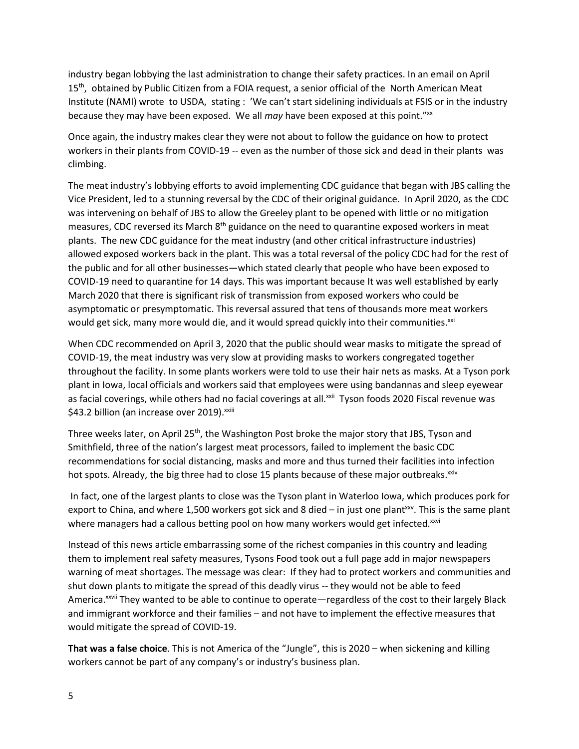industry began lobbying the last administration to change their safety practices. In an email on April 15<sup>th</sup>, obtained by Public Citizen from a FOIA request, a senior official of the North American Meat Institute (NAMI) wrote to USDA, stating : 'We can't start sidelining individuals at FSIS or in the industry because they may have been exposed. We all *may* have been exposed at this point."xx

Once again, the industry makes clear they were not about to follow the guidance on how to protect workers in their plants from COVID-19 -- even as the number of those sick and dead in their plants was climbing.

The meat industry's lobbying efforts to avoid implementing CDC guidance that began with JBS calling the Vice President, led to a stunning reversal by the CDC of their original guidance. In April 2020, as the CDC was intervening on behalf of JBS to allow the Greeley plant to be opened with little or no mitigation measures, CDC reversed its March  $8<sup>th</sup>$  guidance on the need to quarantine exposed workers in meat plants. The new CDC guidance for the meat industry (and other critical infrastructure industries) allowed exposed workers back in the plant. This was a total reversal of the policy CDC had for the rest of the public and for all other businesses—which stated clearly that people who have been exposed to COVID-19 need to quarantine for 14 days. This was important because It was well established by early March 2020 that there is significant risk of transmission from exposed workers who could be asymptomatic or presymptomatic. This reversal assured that tens of thousands more meat workers would get sick, many more would die, and it would spread quickly into their communities.<sup>xxi</sup>

When CDC recommended on April 3, 2020 that the public should wear masks to mitigate the spread of COVID-19, the meat industry was very slow at providing masks to workers congregated together throughout the facility. In some plants workers were told to use their hair nets as masks. At a Tyson pork plant in Iowa, local officials and workers said that employees were using bandannas and sleep eyewear as facial coverings, while others had no facial coverings at all.<sup>xxii</sup> Tyson foods 2020 Fiscal revenue was \$43.2 billion (an increase over 2019).<sup>xxiii</sup>

Three weeks later, on April 25<sup>th</sup>, the Washington Post broke the major story that JBS, Tyson and Smithfield, three of the nation's largest meat processors, failed to implement the basic CDC recommendations for social distancing, masks and more and thus turned their facilities into infection hot spots. Already, the big three had to close 15 plants because of these major outbreaks.<sup>xxiv</sup>

In fact, one of the largest plants to close was the Tyson plant in Waterloo Iowa, which produces pork for export to China, and where 1,500 workers got sick and 8 died – in just one plant<sup>xxv</sup>. This is the same plant where managers had a callous betting pool on how many workers would get infected.<sup>xxvi</sup>

Instead of this news article embarrassing some of the richest companies in this country and leading them to implement real safety measures, Tysons Food took out a full page add in major newspapers warning of meat shortages. The message was clear: If they had to protect workers and communities and shut down plants to mitigate the spread of this deadly virus -- they would not be able to feed America.xxvii They wanted to be able to continue to operate—regardless of the cost to their largely Black and immigrant workforce and their families – and not have to implement the effective measures that would mitigate the spread of COVID-19.

**That was a false choice**. This is not America of the "Jungle", this is 2020 – when sickening and killing workers cannot be part of any company's or industry's business plan.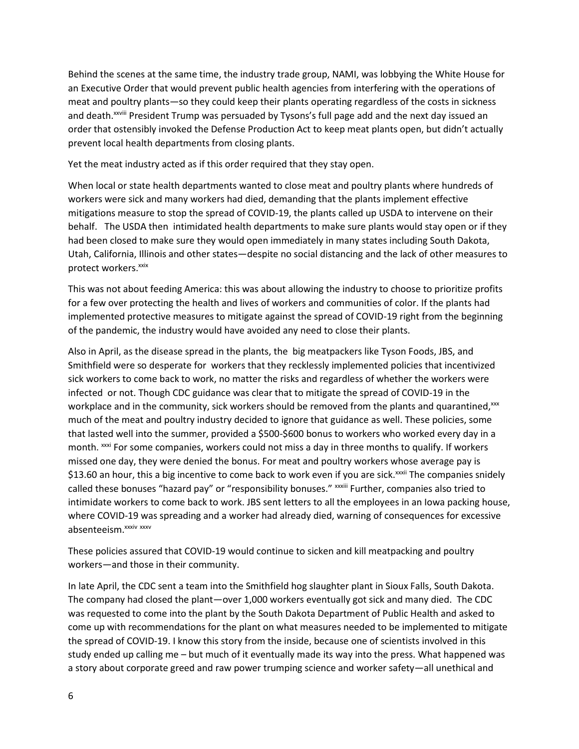Behind the scenes at the same time, the industry trade group, NAMI, was lobbying the White House for an Executive Order that would prevent public health agencies from interfering with the operations of meat and poultry plants—so they could keep their plants operating regardless of the costs in sickness and death.<sup>xxviii</sup> President Trump was persuaded by Tysons's full page add and the next day issued an order that ostensibly invoked the Defense Production Act to keep meat plants open, but didn't actually prevent local health departments from closing plants.

Yet the meat industry acted as if this order required that they stay open.

When local or state health departments wanted to close meat and poultry plants where hundreds of workers were sick and many workers had died, demanding that the plants implement effective mitigations measure to stop the spread of COVID-19, the plants called up USDA to intervene on their behalf. The USDA then intimidated health departments to make sure plants would stay open or if they had been closed to make sure they would open immediately in many states including South Dakota, Utah, California, Illinois and other states—despite no social distancing and the lack of other measures to protect workers.<sup>xxix</sup>

This was not about feeding America: this was about allowing the industry to choose to prioritize profits for a few over protecting the health and lives of workers and communities of color. If the plants had implemented protective measures to mitigate against the spread of COVID-19 right from the beginning of the pandemic, the industry would have avoided any need to close their plants.

Also in April, as the disease spread in the plants, the big meatpackers like Tyson Foods, JBS, and Smithfield were so desperate for workers that they recklessly implemented policies that incentivized sick workers to come back to work, no matter the risks and regardless of whether the workers were infected or not. Though CDC guidance was clear that to mitigate the spread of COVID-19 in the workplace and in the community, sick workers should be removed from the plants and quarantined, xxx much of the meat and poultry industry decided to ignore that guidance as well. These policies, some that lasted well into the summer, provided a \$500-\$600 bonus to workers who worked every day in a month. xxxi For some companies, workers could not miss a day in three months to qualify. If workers missed one day, they were denied the bonus. For meat and poultry workers whose average pay is \$13.60 an hour, this a big incentive to come back to work even if you are sick.<sup>xxxii</sup> The companies snidely called these bonuses "hazard pay" or "responsibility bonuses." xxxiii Further, companies also tried to intimidate workers to come back to work. JBS sent letters to all the employees in an Iowa packing house, where COVID-19 was spreading and a worker had already died, warning of consequences for excessive absenteeism.<sup>xxxiv</sup> xxxv

These policies assured that COVID-19 would continue to sicken and kill meatpacking and poultry workers—and those in their community.

In late April, the CDC sent a team into the Smithfield hog slaughter plant in Sioux Falls, South Dakota. The company had closed the plant—over 1,000 workers eventually got sick and many died. The CDC was requested to come into the plant by the South Dakota Department of Public Health and asked to come up with recommendations for the plant on what measures needed to be implemented to mitigate the spread of COVID-19. I know this story from the inside, because one of scientists involved in this study ended up calling me – but much of it eventually made its way into the press. What happened was a story about corporate greed and raw power trumping science and worker safety—all unethical and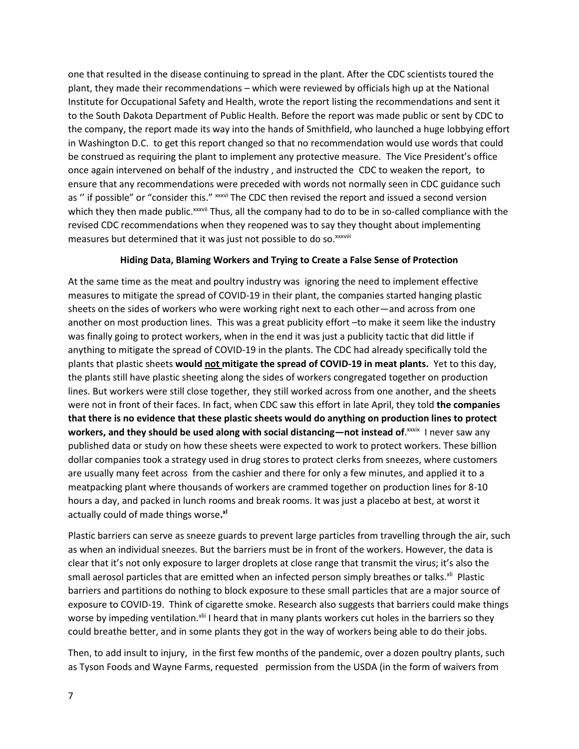one that resulted in the disease continuing to spread in the plant. After the CDC scientists toured the plant, they made their recommendations – which were reviewed by officials high up at the National Institute for Occupational Safety and Health, wrote the report listing the recommendations and sent it to the South Dakota Department of Public Health. Before the report was made public or sent by CDC to the company, the report made its way into the hands of Smithfield, who launched a huge lobbying effort in Washington D.C. to get this report changed so that no recommendation would use words that could be construed as requiring the plant to implement any protective measure. The Vice President's office once again intervened on behalf of the industry , and instructed the CDC to weaken the report, to ensure that any recommendations were preceded with words not normally seen in CDC guidance such as " if possible" or "consider this." xxxvi The CDC then revised the report and issued a second version which they then made public.<sup>xxxvii</sup> Thus, all the company had to do to be in so-called compliance with the revised CDC recommendations when they reopened was to say they thought about implementing measures but determined that it was just not possible to do so. xxxviii

## **Hiding Data, Blaming Workers and Trying to Create a False Sense of Protection**

At the same time as the meat and poultry industry was ignoring the need to implement effective measures to mitigate the spread of COVID-19 in their plant, the companies started hanging plastic sheets on the sides of workers who were working right next to each other—and across from one another on most production lines. This was a great publicity effort –to make it seem like the industry was finally going to protect workers, when in the end it was just a publicity tactic that did little if anything to mitigate the spread of COVID-19 in the plants. The CDC had already specifically told the plants that plastic sheets **would not mitigate the spread of COVID-19 in meat plants.** Yet to this day, the plants still have plastic sheeting along the sides of workers congregated together on production lines. But workers were still close together, they still worked across from one another, and the sheets were not in front of their faces. In fact, when CDC saw this effort in late April, they told **the companies that there is no evidence that these plastic sheets would do anything on production lines to protect workers, and they should be used along with social distancing—not instead of.<sup>xxxix</sup> I never saw any** published data or study on how these sheets were expected to work to protect workers. These billion dollar companies took a strategy used in drug stores to protect clerks from sneezes, where customers are usually many feet across from the cashier and there for only a few minutes, and applied it to a meatpacking plant where thousands of workers are crammed together on production lines for 8-10 hours a day, and packed in lunch rooms and break rooms. It was just a placebo at best, at worst it actually could of made things worse**. xl**

Plastic barriers can serve as sneeze guards to prevent large particles from travelling through the air, such as when an individual sneezes. But the barriers must be in front of the workers. However, the data is clear that it's not only exposure to larger droplets at close range that transmit the virus; it's also the small aerosol particles that are emitted when an infected person simply breathes or talks.<sup>xii</sup> Plastic barriers and partitions do nothing to block exposure to these small particles that are a major source of exposure to COVID-19. Think of cigarette smoke. Research also suggests that barriers could make things worse by impeding ventilation.<sup>xlii</sup> I heard that in many plants workers cut holes in the barriers so they could breathe better, and in some plants they got in the way of workers being able to do their jobs.

Then, to add insult to injury, in the first few months of the pandemic, over a dozen poultry plants, such as Tyson Foods and Wayne Farms, requested permission from the USDA (in the form of waivers from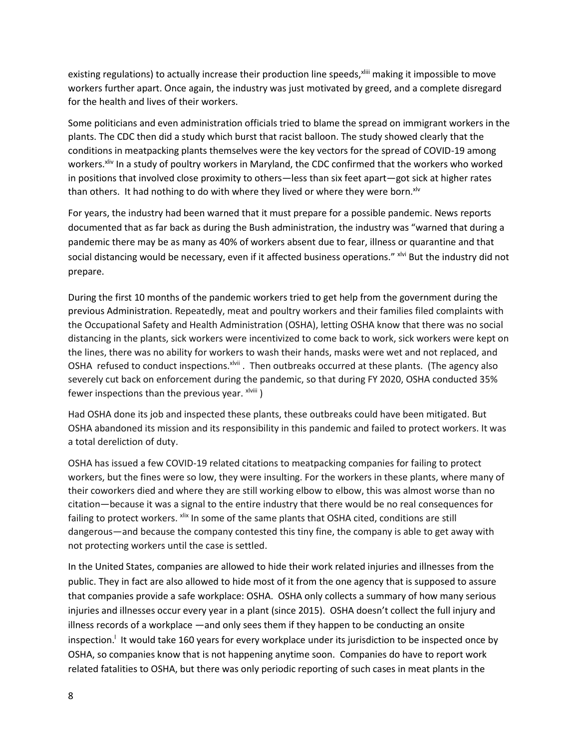existing regulations) to actually increase their production line speeds, XIIII making it impossible to move workers further apart. Once again, the industry was just motivated by greed, and a complete disregard for the health and lives of their workers.

Some politicians and even administration officials tried to blame the spread on immigrant workers in the plants. The CDC then did a study which burst that racist balloon. The study showed clearly that the conditions in meatpacking plants themselves were the key vectors for the spread of COVID-19 among workers.<sup>xliv</sup> In a study of poultry workers in Maryland, the CDC confirmed that the workers who worked in positions that involved close proximity to others—less than six feet apart—got sick at higher rates than others. It had nothing to do with where they lived or where they were born.<sup>xlv</sup>

For years, the industry had been warned that it must prepare for a possible pandemic. News reports documented that as far back as during the Bush administration, the industry was "warned that during a pandemic there may be as many as 40% of workers absent due to fear, illness or quarantine and that social distancing would be necessary, even if it affected business operations." **xlvi** But the industry did not prepare.

During the first 10 months of the pandemic workers tried to get help from the government during the previous Administration. Repeatedly, meat and poultry workers and their families filed complaints with the Occupational Safety and Health Administration (OSHA), letting OSHA know that there was no social distancing in the plants, sick workers were incentivized to come back to work, sick workers were kept on the lines, there was no ability for workers to wash their hands, masks were wet and not replaced, and OSHA refused to conduct inspections. xlvii. Then outbreaks occurred at these plants. (The agency also severely cut back on enforcement during the pandemic, so that during FY 2020, OSHA conducted 35% fewer inspections than the previous year.  $x^{\text{lviii}}$ )

Had OSHA done its job and inspected these plants, these outbreaks could have been mitigated. But OSHA abandoned its mission and its responsibility in this pandemic and failed to protect workers. It was a total dereliction of duty.

OSHA has issued a few COVID-19 related citations to meatpacking companies for failing to protect workers, but the fines were so low, they were insulting. For the workers in these plants, where many of their coworkers died and where they are still working elbow to elbow, this was almost worse than no citation—because it was a signal to the entire industry that there would be no real consequences for failing to protect workers. xlix In some of the same plants that OSHA cited, conditions are still dangerous—and because the company contested this tiny fine, the company is able to get away with not protecting workers until the case is settled.

In the United States, companies are allowed to hide their work related injuries and illnesses from the public. They in fact are also allowed to hide most of it from the one agency that is supposed to assure that companies provide a safe workplace: OSHA. OSHA only collects a summary of how many serious injuries and illnesses occur every year in a plant (since 2015). OSHA doesn't collect the full injury and illness records of a workplace —and only sees them if they happen to be conducting an onsite inspection.<sup>1</sup> It would take 160 years for every workplace under its jurisdiction to be inspected once by OSHA, so companies know that is not happening anytime soon. Companies do have to report work related fatalities to OSHA, but there was only periodic reporting of such cases in meat plants in the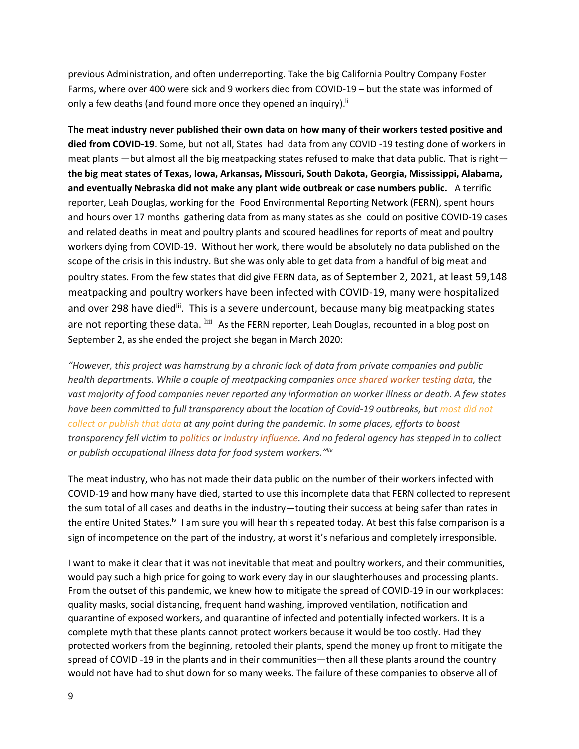previous Administration, and often underreporting. Take the big California Poultry Company Foster Farms, where over 400 were sick and 9 workers died from COVID-19 – but the state was informed of only a few deaths (and found more once they opened an inquiry).<sup>If</sup>

**The meat industry never published their own data on how many of their workers tested positive and died from COVID-19**. Some, but not all, States had data from any COVID -19 testing done of workers in meat plants —but almost all the big meatpacking states refused to make that data public. That is right **the big meat states of Texas, Iowa, Arkansas, Missouri, South Dakota, Georgia, Mississippi, Alabama, and eventually Nebraska did not make any plant wide outbreak or case numbers public.** A terrific reporter, Leah Douglas, working for the Food Environmental Reporting Network (FERN), spent hours and hours over 17 months gathering data from as many states as she could on positive COVID-19 cases and related deaths in meat and poultry plants and scoured headlines for reports of meat and poultry workers dying from COVID-19. Without her work, there would be absolutely no data published on the scope of the crisis in this industry. But she was only able to get data from a handful of big meat and poultry states. From the few states that did give FERN data, as of September 2, 2021, at least 59,148 meatpacking and poultry workers have been infected with COVID-19, many were hospitalized and over 298 have died<sup>lii</sup>. This is a severe undercount, because many big meatpacking states are not reporting these data. <sup>liii</sup> As the FERN reporter, Leah Douglas, recounted in a blog post on September 2, as she ended the project she began in March 2020:

*"However, this project was hamstrung by a chronic lack of data from private companies and public health departments. While a couple of meatpacking companies [once shared worker testing data,](https://thefern.org/ag_insider/covid-19-cases-appear-to-be-slowing-at-meat-plants-but-companies-arent-releasing-test-results/) the vast majority of food companies never reported any information on worker illness or death. A few states have been committed to full transparency about the location of Covid-19 outbreaks, but [most did not](https://thefern.org/ag_insider/few-states-release-data-about-covid-19-in-the-food-system/)  [collect or publish that data](https://thefern.org/ag_insider/few-states-release-data-about-covid-19-in-the-food-system/) at any point during the pandemic. In some places, efforts to boost transparency fell victim to [politics](https://thefern.org/ag_insider/states-are-rolling-back-recent-transparency-measures-in-how-they-report-meatpacking-plant-outbreaks/) or [industry influence.](https://thefern.org/2020/12/documents-show-scope-of-covid-19-in-north-carolina-meat-industry/) And no federal agency has stepped in to collect or publish occupational illness data for food system workers." liv*

The meat industry, who has not made their data public on the number of their workers infected with COVID-19 and how many have died, started to use this incomplete data that FERN collected to represent the sum total of all cases and deaths in the industry—touting their success at being safer than rates in the entire United States.<sup>lv</sup> I am sure you will hear this repeated today. At best this false comparison is a sign of incompetence on the part of the industry, at worst it's nefarious and completely irresponsible.

I want to make it clear that it was not inevitable that meat and poultry workers, and their communities, would pay such a high price for going to work every day in our slaughterhouses and processing plants. From the outset of this pandemic, we knew how to mitigate the spread of COVID-19 in our workplaces: quality masks, social distancing, frequent hand washing, improved ventilation, notification and quarantine of exposed workers, and quarantine of infected and potentially infected workers. It is a complete myth that these plants cannot protect workers because it would be too costly. Had they protected workers from the beginning, retooled their plants, spend the money up front to mitigate the spread of COVID -19 in the plants and in their communities—then all these plants around the country would not have had to shut down for so many weeks. The failure of these companies to observe all of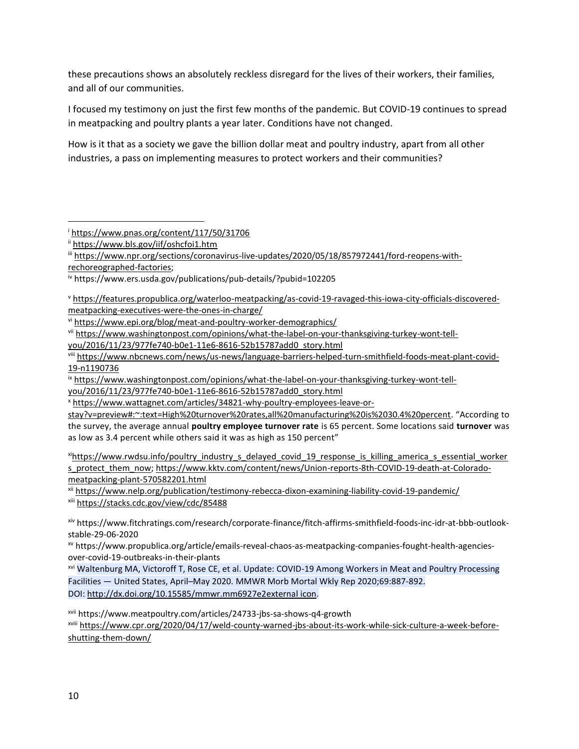these precautions shows an absolutely reckless disregard for the lives of their workers, their families, and all of our communities.

I focused my testimony on just the first few months of the pandemic. But COVID-19 continues to spread in meatpacking and poultry plants a year later. Conditions have not changed.

How is it that as a society we gave the billion dollar meat and poultry industry, apart from all other industries, a pass on implementing measures to protect workers and their communities?

 $\overline{\phantom{a}}$ 

iv https://www.ers.usda.gov/publications/pub-details/?pubid=102205

<sup>v</sup> https://features.propublica.org/waterloo-meatpacking/as-covid-19-ravaged-this-iowa-city-officials-discoveredmeatpacking-executives-were-the-ones-in-charge/

vi https://www.epi.org/blog/meat-and-poultry-worker-demographics/

vii https://www.washingtonpost.com/opinions/what-the-label-on-your-thanksgiving-turkey-wont-tell-

you/2016/11/23/977fe740-b0e1-11e6-8616-52b15787add0\_story.html

viii https://www.nbcnews.com/news/us-news/language-barriers-helped-turn-smithfield-foods-meat-plant-covid-19-n1190736

ix https://www.washingtonpost.com/opinions/what-the-label-on-your-thanksgiving-turkey-wont-tell-

you/2016/11/23/977fe740-b0e1-11e6-8616-52b15787add0\_story.html

<sup>x</sup> https://www.wattagnet.com/articles/34821-why-poultry-employees-leave-or-

stay?v=preview#:~:text=High%20turnover%20rates,all%20manufacturing%20is%2030.4%20percent. "According to the survey, the average annual **poultry employee turnover rate** is 65 percent. Some locations said **turnover** was as low as 3.4 percent while others said it was as high as 150 percent"

xi[https://www.rwdsu.info/poultry\\_industry\\_s\\_delayed\\_covid\\_19\\_response\\_is\\_killing\\_america\\_s\\_essential\\_worker](https://www.rwdsu.info/poultry_industry_s_delayed_covid_19_response_is_killing_america_s_essential_workers_protect_them_now) [s\\_protect\\_them\\_now;](https://www.rwdsu.info/poultry_industry_s_delayed_covid_19_response_is_killing_america_s_essential_workers_protect_them_now) https://www.kktv.com/content/news/Union-reports-8th-COVID-19-death-at-Coloradomeatpacking-plant-570582201.html

xii https://www.nelp.org/publication/testimony-rebecca-dixon-examining-liability-covid-19-pandemic/ xiii <https://stacks.cdc.gov/view/cdc/85488>

xiv https://www.fitchratings.com/research/corporate-finance/fitch-affirms-smithfield-foods-inc-idr-at-bbb-outlookstable-29-06-2020

xv https://www.propublica.org/article/emails-reveal-chaos-as-meatpacking-companies-fought-health-agenciesover-covid-19-outbreaks-in-their-plants

xvi Waltenburg MA, Victoroff T, Rose CE, et al. Update: COVID-19 Among Workers in Meat and Poultry Processing Facilities ― United States, April–May 2020. MMWR Morb Mortal Wkly Rep 2020;69:887-892. DOI: [http://dx.doi.org/10.15585/mmwr.mm6927e2external](http://dx.doi.org/10.15585/mmwr.mm6927e2) icon.

xvii https://www.meatpoultry.com/articles/24733-jbs-sa-shows-q4-growth

xviii [https://www.cpr.org/2020/04/17/weld-county-warned-jbs-about-its-work-while-sick-culture-a-week-before](https://www.cpr.org/2020/04/17/weld-county-warned-jbs-about-its-work-while-sick-culture-a-week-before-shutting-them-down/)[shutting-them-down/](https://www.cpr.org/2020/04/17/weld-county-warned-jbs-about-its-work-while-sick-culture-a-week-before-shutting-them-down/)

<sup>i</sup> https://www.pnas.org/content/117/50/31706

ii https://www.bls.gov/iif/oshcfoi1.htm

iii [https://www.npr.org/sections/coronavirus-live-updates/2020/05/18/857972441/ford-reopens-with](https://www.npr.org/sections/coronavirus-live-updates/2020/05/18/857972441/ford-reopens-with-rechoreographed-factories)[rechoreographed-factories;](https://www.npr.org/sections/coronavirus-live-updates/2020/05/18/857972441/ford-reopens-with-rechoreographed-factories)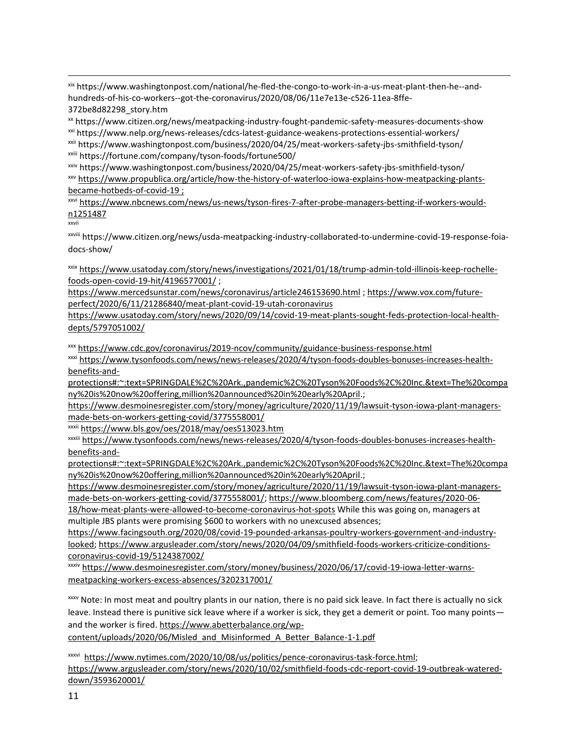xix https://www.washingtonpost.com/national/he-fled-the-congo-to-work-in-a-us-meat-plant-then-he--andhundreds-of-his-co-workers--got-the-coronavirus/2020/08/06/11e7e13e-c526-11ea-8ffe-372be8d82298\_story.htm

xx https://www.citizen.org/news/meatpacking-industry-fought-pandemic-safety-measures-documents-show xxi https://www.nelp.org/news-releases/cdcs-latest-guidance-weakens-protections-essential-workers/

xxii https://www.washingtonpost.com/business/2020/04/25/meat-workers-safety-jbs-smithfield-tyson/ xxiii https://fortune.com/company/tyson-foods/fortune500/

xxiv https://www.washingtonpost.com/business/2020/04/25/meat-workers-safety-jbs-smithfield-tyson/ xxv [https://www.propublica.org/article/how-the-history-of-waterloo-iowa-explains-how-meatpacking-plants](https://www.propublica.org/article/how-the-history-of-waterloo-iowa-explains-how-meatpacking-plants-became-hotbeds-of-covid-19)[became-hotbeds-of-covid-19](https://www.propublica.org/article/how-the-history-of-waterloo-iowa-explains-how-meatpacking-plants-became-hotbeds-of-covid-19) ;

xxvi https://www.nbcnews.com/news/us-news/tyson-fires-7-after-probe-managers-betting-if-workers-wouldn1251487

xxvii

 $\overline{\phantom{a}}$ 

xxviii https://www.citizen.org/news/usda-meatpacking-industry-collaborated-to-undermine-covid-19-response-foiadocs-show/

xxix [https://www.usatoday.com/story/news/investigations/2021/01/18/trump-admin-told-illinois-keep-rochelle](https://www.usatoday.com/story/news/investigations/2021/01/18/trump-admin-told-illinois-keep-rochelle-foods-open-covid-19-hit/4196577001/)[foods-open-covid-19-hit/4196577001/](https://www.usatoday.com/story/news/investigations/2021/01/18/trump-admin-told-illinois-keep-rochelle-foods-open-covid-19-hit/4196577001/) ;

<https://www.mercedsunstar.com/news/coronavirus/article246153690.html> ; [https://www.vox.com/future](https://url.emailprotection.link/?bEDK-jST3KpZwwLQ0JmyLXNWPYT8i7v0kMqbLHHJiKuzErmUGlqizOpPLbeRZN94JYcBcfeop4BsyoQg6qd_zQO5HMjv0Jc_vc8CrP83tuWxlW1l-wxgdjPoa-27VBVMiBvdhvSHZd1JHwysPV3H0ks0cDESvTUT7BFdPBwMvLuo~)[perfect/2020/6/11/21286840/meat-plant-covid-19-utah-coronavirus](https://url.emailprotection.link/?bEDK-jST3KpZwwLQ0JmyLXNWPYT8i7v0kMqbLHHJiKuzErmUGlqizOpPLbeRZN94JYcBcfeop4BsyoQg6qd_zQO5HMjv0Jc_vc8CrP83tuWxlW1l-wxgdjPoa-27VBVMiBvdhvSHZd1JHwysPV3H0ks0cDESvTUT7BFdPBwMvLuo~)

[https://www.usatoday.com/story/news/2020/09/14/covid-19-meat-plants-sought-feds-protection-local-health](https://www.usatoday.com/story/news/2020/09/14/covid-19-meat-plants-sought-feds-protection-local-health-depts/5797051002/)[depts/5797051002/](https://www.usatoday.com/story/news/2020/09/14/covid-19-meat-plants-sought-feds-protection-local-health-depts/5797051002/)

xxx https://www.cdc.gov/coronavirus/2019-ncov/community/guidance-business-response.html

xxxi [https://www.tysonfoods.com/news/news-releases/2020/4/tyson-foods-doubles-bonuses-increases-health](https://www.tysonfoods.com/news/news-releases/2020/4/tyson-foods-doubles-bonuses-increases-health-benefits-and-protections#:~:text=SPRINGDALE%2C%20Ark.,pandemic%2C%20Tyson%20Foods%2C%20Inc.&text=The%20company%20is%20now%20offering,million%20announced%20in%20early%20April)[benefits-and-](https://www.tysonfoods.com/news/news-releases/2020/4/tyson-foods-doubles-bonuses-increases-health-benefits-and-protections#:~:text=SPRINGDALE%2C%20Ark.,pandemic%2C%20Tyson%20Foods%2C%20Inc.&text=The%20company%20is%20now%20offering,million%20announced%20in%20early%20April)

[protections#:~:text=SPRINGDALE%2C%20Ark.,pandemic%2C%20Tyson%20Foods%2C%20Inc.&text=The%20compa](https://www.tysonfoods.com/news/news-releases/2020/4/tyson-foods-doubles-bonuses-increases-health-benefits-and-protections#:~:text=SPRINGDALE%2C%20Ark.,pandemic%2C%20Tyson%20Foods%2C%20Inc.&text=The%20company%20is%20now%20offering,million%20announced%20in%20early%20April) [ny%20is%20now%20offering,million%20announced%20in%20early%20April.](https://www.tysonfoods.com/news/news-releases/2020/4/tyson-foods-doubles-bonuses-increases-health-benefits-and-protections#:~:text=SPRINGDALE%2C%20Ark.,pandemic%2C%20Tyson%20Foods%2C%20Inc.&text=The%20company%20is%20now%20offering,million%20announced%20in%20early%20April);

[https://www.desmoinesregister.com/story/money/agriculture/2020/11/19/lawsuit-tyson-iowa-plant-managers](https://www.desmoinesregister.com/story/money/agriculture/2020/11/19/lawsuit-tyson-iowa-plant-managers-made-bets-on-workers-getting-covid/3775558001/)[made-bets-on-workers-getting-covid/3775558001/](https://www.desmoinesregister.com/story/money/agriculture/2020/11/19/lawsuit-tyson-iowa-plant-managers-made-bets-on-workers-getting-covid/3775558001/)

xxxii https://www.bls.gov/oes/2018/may/oes513023.htm

xxxiii [https://www.tysonfoods.com/news/news-releases/2020/4/tyson-foods-doubles-bonuses-increases-health](https://www.tysonfoods.com/news/news-releases/2020/4/tyson-foods-doubles-bonuses-increases-health-benefits-and-protections#:~:text=SPRINGDALE%2C%20Ark.,pandemic%2C%20Tyson%20Foods%2C%20Inc.&text=The%20company%20is%20now%20offering,million%20announced%20in%20early%20April)[benefits-and-](https://www.tysonfoods.com/news/news-releases/2020/4/tyson-foods-doubles-bonuses-increases-health-benefits-and-protections#:~:text=SPRINGDALE%2C%20Ark.,pandemic%2C%20Tyson%20Foods%2C%20Inc.&text=The%20company%20is%20now%20offering,million%20announced%20in%20early%20April)

[protections#:~:text=SPRINGDALE%2C%20Ark.,pandemic%2C%20Tyson%20Foods%2C%20Inc.&text=The%20compa](https://www.tysonfoods.com/news/news-releases/2020/4/tyson-foods-doubles-bonuses-increases-health-benefits-and-protections#:~:text=SPRINGDALE%2C%20Ark.,pandemic%2C%20Tyson%20Foods%2C%20Inc.&text=The%20company%20is%20now%20offering,million%20announced%20in%20early%20April) [ny%20is%20now%20offering,million%20announced%20in%20early%20April.](https://www.tysonfoods.com/news/news-releases/2020/4/tyson-foods-doubles-bonuses-increases-health-benefits-and-protections#:~:text=SPRINGDALE%2C%20Ark.,pandemic%2C%20Tyson%20Foods%2C%20Inc.&text=The%20company%20is%20now%20offering,million%20announced%20in%20early%20April);

[https://www.desmoinesregister.com/story/money/agriculture/2020/11/19/lawsuit-tyson-iowa-plant-managers](https://www.desmoinesregister.com/story/money/agriculture/2020/11/19/lawsuit-tyson-iowa-plant-managers-made-bets-on-workers-getting-covid/3775558001/)[made-bets-on-workers-getting-covid/3775558001/;](https://www.desmoinesregister.com/story/money/agriculture/2020/11/19/lawsuit-tyson-iowa-plant-managers-made-bets-on-workers-getting-covid/3775558001/) https://www.bloomberg.com/news/features/2020-06-

18/how-meat-plants-were-allowed-to-become-coronavirus-hot-spots While this was going on, managers at multiple JBS plants were promising \$600 to workers with no unexcused absences;

https://www.facingsouth.org/2020/08/covid-19-pounded-arkansas-poultry-workers-government-and-industrylooked; https://www.argusleader.com/story/news/2020/04/09/smithfield-foods-workers-criticize-conditionscoronavirus-covid-19/5124387002/

xxxiv https://www.desmoinesregister.com/story/money/business/2020/06/17/covid-19-iowa-letter-warnsmeatpacking-workers-excess-absences/3202317001/

xxxv Note: In most meat and poultry plants in our nation, there is no paid sick leave. In fact there is actually no sick leave. Instead there is punitive sick leave where if a worker is sick, they get a demerit or point. Too many points and the worker is fired. https://www.abetterbalance.org/wp-

content/uploads/2020/06/Misled\_and\_Misinformed\_A\_Better\_Balance-1-1.pdf

xxxvi https://www.nytimes.com/2020/10/08/us/politics/pence-coronavirus-task-force.html; https://www.argusleader.com/story/news/2020/10/02/smithfield-foods-cdc-report-covid-19-outbreak-watereddown/3593620001/